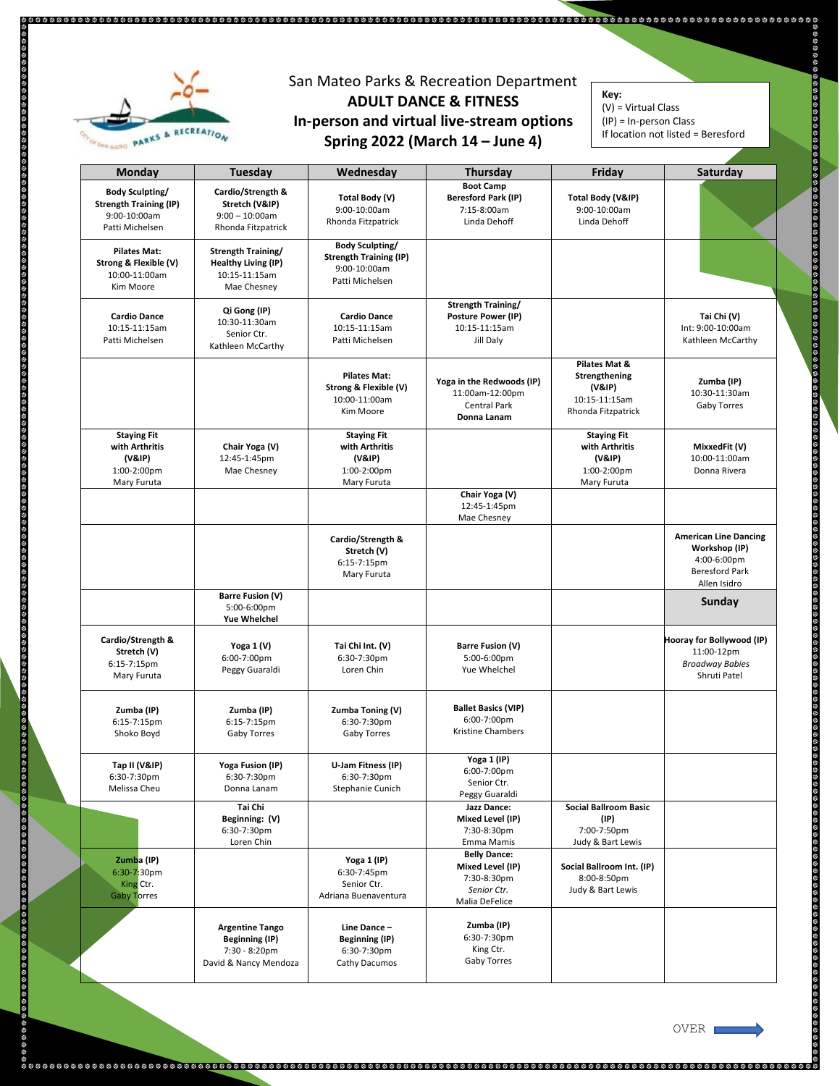

## San Mateo Parks & Recreation Department **ADULT DANCE & FITNESS In-person and virtual live-stream options Spring 2022 (March 14 – June 4)**

**Key:**  $(V)$  = Virtual Class

 $\overline{\phantom{0}}$ 

 $(IP) = In-person Class$ 

If location not listed = Beresford

| Monday                                                                                     | Tuesday                                                                                   | Wednesday                                                                                  | Thursday                                                                                | Friday                                                                          | Saturday                                                                                              |
|--------------------------------------------------------------------------------------------|-------------------------------------------------------------------------------------------|--------------------------------------------------------------------------------------------|-----------------------------------------------------------------------------------------|---------------------------------------------------------------------------------|-------------------------------------------------------------------------------------------------------|
| <b>Body Sculpting/</b><br><b>Strength Training (IP)</b><br>9:00-10:00am<br>Patti Michelsen | Cardio/Strength &<br>Stretch (V&IP)<br>$9:00 - 10:00$ am<br>Rhonda Fitzpatrick            | Total Body (V)<br>9:00-10:00am<br>Rhonda Fitzpatrick                                       | <b>Boot Camp</b><br><b>Beresford Park (IP)</b><br>7:15-8:00am<br>Linda Dehoff           | Total Body (V&IP)<br>9:00-10:00am<br>Linda Dehoff                               |                                                                                                       |
| <b>Pilates Mat:</b><br>Strong & Flexible (V)<br>10:00-11:00am<br>Kim Moore                 | Strength Training/<br><b>Healthy Living (IP)</b><br>10:15-11:15am<br>Mae Chesney          | <b>Body Sculpting/</b><br><b>Strength Training (IP)</b><br>9:00-10:00am<br>Patti Michelsen |                                                                                         |                                                                                 |                                                                                                       |
| <b>Cardio Dance</b><br>10:15-11:15am<br>Patti Michelsen                                    | Qi Gong (IP)<br>10:30-11:30am<br>Senior Ctr.<br>Kathleen McCarthy                         | <b>Cardio Dance</b><br>10:15-11:15am<br>Patti Michelsen                                    | Strength Training/<br>Posture Power (IP)<br>10:15-11:15am<br>Jill Daly                  |                                                                                 | Tai Chi (V)<br>Int: 9:00-10:00am<br>Kathleen McCarthy                                                 |
|                                                                                            |                                                                                           | <b>Pilates Mat:</b><br>Strong & Flexible (V)<br>10:00-11:00am<br>Kim Moore                 | Yoga in the Redwoods (IP)<br>11:00am-12:00pm<br>Central Park<br>Donna Lanam             | Pilates Mat &<br>Strengthening<br>(V&IP)<br>10:15-11:15am<br>Rhonda Fitzpatrick | Zumba (IP)<br>10:30-11:30am<br>Gaby Torres                                                            |
| <b>Staying Fit</b><br>with Arthritis<br>(V&IP)<br>1:00-2:00pm<br>Mary Furuta               | Chair Yoga (V)<br>12:45-1:45pm<br>Mae Chesney                                             | <b>Staying Fit</b><br>with Arthritis<br>(V&IP)<br>1:00-2:00pm<br>Mary Furuta               |                                                                                         | <b>Staying Fit</b><br>with Arthritis<br>(V&IP)<br>1:00-2:00pm<br>Mary Furuta    | MixxedFit (V)<br>10:00-11:00am<br>Donna Rivera                                                        |
|                                                                                            |                                                                                           |                                                                                            | Chair Yoga (V)<br>12:45-1:45pm<br>Mae Chesney                                           |                                                                                 |                                                                                                       |
|                                                                                            |                                                                                           | Cardio/Strength &<br>Stretch (V)<br>6:15-7:15pm<br>Mary Furuta                             |                                                                                         |                                                                                 | <b>American Line Dancing</b><br>Workshop (IP)<br>4:00-6:00pm<br><b>Beresford Park</b><br>Allen Isidro |
|                                                                                            | <b>Barre Fusion (V)</b><br>5:00-6:00pm<br><b>Yue Whelchel</b>                             |                                                                                            |                                                                                         |                                                                                 | Sunday                                                                                                |
| Cardio/Strength &<br>Stretch (V)<br>$6:15-7:15$ pm<br>Mary Furuta                          | Yoga 1 (V)<br>6:00-7:00pm<br>Peggy Guaraldi                                               | Tai Chi Int. (V)<br>6:30-7:30pm<br>Loren Chin                                              | <b>Barre Fusion (V)</b><br>5:00-6:00pm<br>Yue Whelchel                                  |                                                                                 | Hooray for Bollywood (IP)<br>11:00-12pm<br><b>Broadway Babies</b><br>Shruti Patel                     |
| Zumba (IP)<br>6:15-7:15pm<br>Shoko Boyd                                                    | Zumba (IP)<br>6:15-7:15pm<br>Gaby Torres                                                  | Zumba Toning (V)<br>6:30-7:30pm<br>Gaby Torres                                             | <b>Ballet Basics (VIP)</b><br>6:00-7:00pm<br>Kristine Chambers                          |                                                                                 |                                                                                                       |
| Tap II (V&IP)<br>$6:30 - 7:30 \text{pm}$<br>Melissa Cheu                                   | Yoga Fusion (IP)<br>6:30-7:30pm<br>Donna Lanam                                            | U-Jam Fitness (IP)<br>6:30-7:30pm<br>Stephanie Cunich                                      | Yoga 1 (IP)<br>6:00-7:00pm<br>Senior Ctr.<br>Peggy Guaraldi                             |                                                                                 |                                                                                                       |
|                                                                                            | Tai Chi<br>Beginning: (V)<br>6:30-7:30pm<br>Loren Chin                                    |                                                                                            | <b>Jazz Dance:</b><br>Mixed Level (IP)<br>7:30-8:30pm<br>Emma Mamis                     | <b>Social Ballroom Basic</b><br>(IP)<br>7:00-7:50pm<br>Judy & Bart Lewis        |                                                                                                       |
| Zumba (IP)<br>6:30-7:30pm<br>King Ctr.<br><b>Gaby Torres</b>                               |                                                                                           | Yoga 1 (IP)<br>6:30-7:45pm<br>Senior Ctr.<br>Adriana Buenaventura                          | <b>Belly Dance:</b><br>Mixed Level (IP)<br>7:30-8:30pm<br>Senior Ctr.<br>Malia DeFelice | Social Ballroom Int. (IP)<br>8:00-8:50pm<br>Judy & Bart Lewis                   |                                                                                                       |
|                                                                                            | <b>Argentine Tango</b><br><b>Beginning (IP)</b><br>7:30 - 8:20pm<br>David & Nancy Mendoza | Line Dance-<br><b>Beginning (IP)</b><br>6:30-7:30pm<br>Cathy Dacumos                       | Zumba (IP)<br>6:30-7:30pm<br>King Ctr.<br>Gaby Torres                                   |                                                                                 |                                                                                                       |